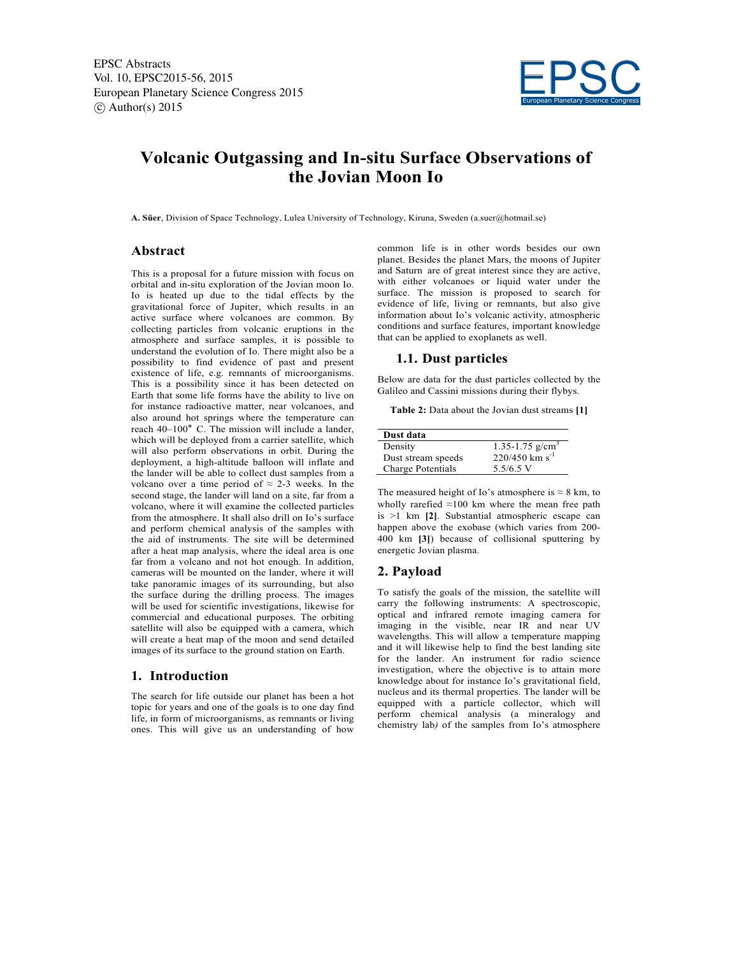EPSC Abstracts Vol. 10, EPSC2015-56, 2015 European Planetary Science Congress 2015  $\circled{c}$  Author(s) 2015



# **Volcanic Outgassing and In-situ Surface Observations of the Jovian Moon Io**

**A. Süer**, Division of Space Technology, Lulea University of Technology, Kiruna, Sweden (a.suer@hotmail.se)

## **Abstract**

This is a proposal for a future mission with focus on orbital and in-situ exploration of the Jovian moon Io. Io is heated up due to the tidal effects by the gravitational force of Jupiter, which results in an active surface where volcanoes are common. By collecting particles from volcanic eruptions in the atmosphere and surface samples, it is possible to understand the evolution of Io. There might also be a possibility to find evidence of past and present existence of life, e.g. remnants of microorganisms. This is a possibility since it has been detected on Earth that some life forms have the ability to live on for instance radioactive matter, near volcanoes, and also around hot springs where the temperature can reach 40–100**°** C. The mission will include a lander, which will be deployed from a carrier satellite, which will also perform observations in orbit. During the deployment, a high-altitude balloon will inflate and the lander will be able to collect dust samples from a volcano over a time period of  $\approx$  2-3 weeks. In the second stage, the lander will land on a site, far from a volcano, where it will examine the collected particles from the atmosphere. It shall also drill on Io's surface and perform chemical analysis of the samples with the aid of instruments. The site will be determined after a heat map analysis, where the ideal area is one far from a volcano and not hot enough. In addition, cameras will be mounted on the lander, where it will take panoramic images of its surrounding, but also the surface during the drilling process. The images will be used for scientific investigations, likewise for commercial and educational purposes. The orbiting satellite will also be equipped with a camera, which will create a heat map of the moon and send detailed images of its surface to the ground station on Earth.

## **1. Introduction**

The search for life outside our planet has been a hot topic for years and one of the goals is to one day find life, in form of microorganisms, as remnants or living ones. This will give us an understanding of how common life is in other words besides our own planet. Besides the planet Mars, the moons of Jupiter and Saturn are of great interest since they are active, with either volcanoes or liquid water under the surface. The mission is proposed to search for evidence of life, living or remnants, but also give information about Io's volcanic activity, atmospheric conditions and surface features, important knowledge that can be applied to exoplanets as well.

#### **1.1. Dust particles**

Below are data for the dust particles collected by the Galileo and Cassini missions during their flybys.

**Table 2:** Data about the Jovian dust streams **[1]**

| Dust data          |                              |
|--------------------|------------------------------|
| Density            | 1.35-1.75 $g/cm3$            |
| Dust stream speeds | $220/450$ km s <sup>-1</sup> |
| Charge Potentials  | $5.5/6.5$ V                  |

The measured height of Io's atmosphere is  $\approx 8$  km, to wholly rarefied  $\approx$ 100 km where the mean free path is >1 km **[2]**. Substantial atmospheric escape can happen above the exobase (which varies from 200- 400 km **[3]**) because of collisional sputtering by energetic Jovian plasma.

## **2. Payload**

To satisfy the goals of the mission, the satellite will carry the following instruments: A spectroscopic, optical and infrared remote imaging camera for imaging in the visible, near IR and near UV wavelengths. This will allow a temperature mapping and it will likewise help to find the best landing site for the lander. An instrument for radio science investigation, where the objective is to attain more knowledge about for instance Io's gravitational field, nucleus and its thermal properties. The lander will be equipped with a particle collector, which will perform chemical analysis (a mineralogy and chemistry lab*)* of the samples from Io's atmosphere